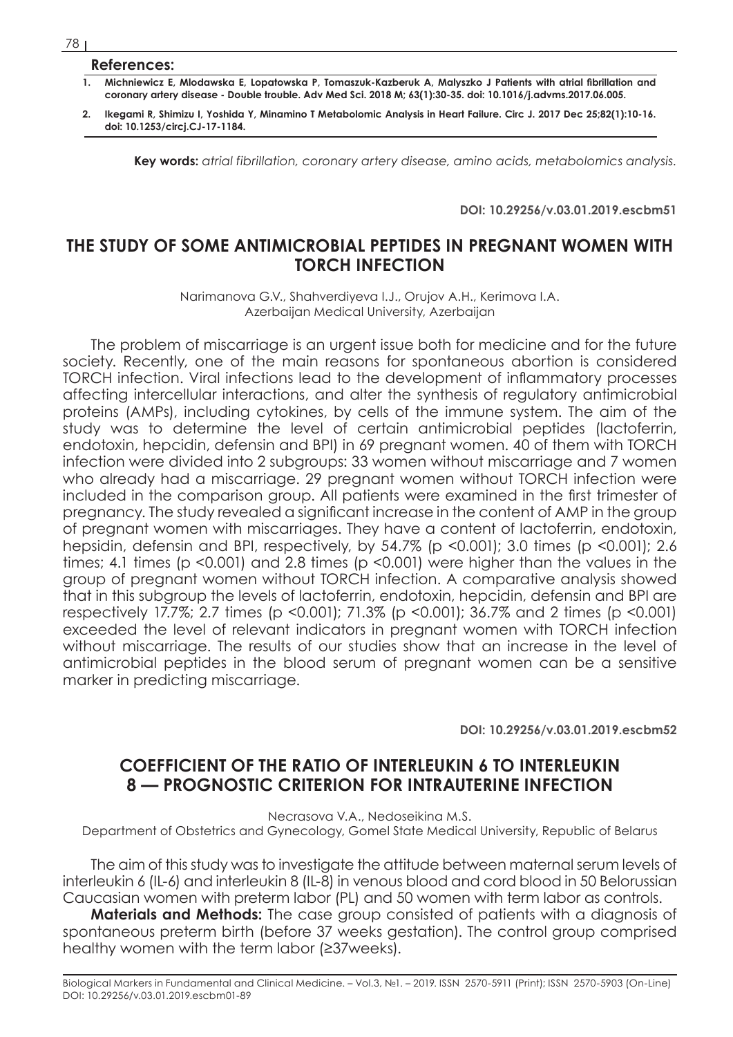## **References:**

- **1. Michniewicz E, Mlodawska E, Lopatowska P, Tomaszuk-Kazberuk A, Malyszko J Patients with atrial fibrillation and coronary artery disease - Double trouble. Adv Med Sci. 2018 M; 63(1):30-35. doi: 10.1016/j.advms.2017.06.005.**
- **2. Ikegami R, Shimizu I, Yoshida Y, Minamino T Metabolomic Analysis in Heart Failure. Circ J. 2017 Dec 25;82(1):10-16. doi: 10.1253/circj.CJ-17-1184.**

**Key words:** *atrial fibrillation, coronary artery disease, amino acids, metabolomics analysis.*

**DOI: 10.29256/v.03.01.2019.escbm51**

## **THE STUDY OF SOME ANTIMICROBIAL PEPTIDES IN PREGNANT WOMEN WITH TORCH INFECTION**

Narimanova G.V., Shahverdiyeva I.J., Orujov A.H., Kerimova I.A. Azerbaijan Medical University, Azerbaijan

The problem of miscarriage is an urgent issue both for medicine and for the future society. Recently, one of the main reasons for spontaneous abortion is considered TORCH infection. Viral infections lead to the development of inflammatory processes affecting intercellular interactions, and alter the synthesis of regulatory antimicrobial proteins (AMPs), including cytokines, by cells of the immune system. The aim of the study was to determine the level of certain antimicrobial peptides (lactoferrin, endotoxin, hepcidin, defensin and BPI) in 69 pregnant women. 40 of them with TORCH infection were divided into 2 subgroups: 33 women without miscarriage and 7 women who already had a miscarriage. 29 pregnant women without TORCH infection were included in the comparison group. All patients were examined in the first trimester of pregnancy. The study revealed a significant increase in the content of AMP in the group of pregnant women with miscarriages. They have a content of lactoferrin, endotoxin, hepsidin, defensin and BPI, respectively, by 54.7% (p <0.001); 3.0 times (p <0.001); 2.6 times; 4.1 times (p <0.001) and 2.8 times (p <0.001) were higher than the values in the group of pregnant women without TORCH infection. A comparative analysis showed that in this subgroup the levels of lactoferrin, endotoxin, hepcidin, defensin and BPI are respectively 17.7%; 2.7 times (p <0.001); 71.3% (p <0.001); 36.7% and 2 times (p <0.001) exceeded the level of relevant indicators in pregnant women with TORCH infection without miscarriage. The results of our studies show that an increase in the level of antimicrobial peptides in the blood serum of pregnant women can be a sensitive marker in predicting miscarriage.

**DOI: 10.29256/v.03.01.2019.escbm52**

## **COEFFICIENT OF THE RATIO OF INTERLEUKIN 6 TO INTERLEUKIN 8 — PROGNOSTIC CRITERION FOR INTRAUTERINE INFECTION**

Necrasova V.A., Nedoseikina M.S.

Department of Obstetrics and Gynecology, Gomel State Medical University, Republic of Belarus

The aim of this study was to investigate the attitude between maternal serum levels of interleukin 6 (IL-6) and interleukin 8 (IL-8) in venous blood and cord blood in 50 Belorussian Caucasian women with preterm labor (PL) and 50 women with term labor as controls.

**Materials and Methods:** The case group consisted of patients with a diagnosis of spontaneous preterm birth (before 37 weeks gestation). The control group comprised healthy women with the term labor (≥37weeks).